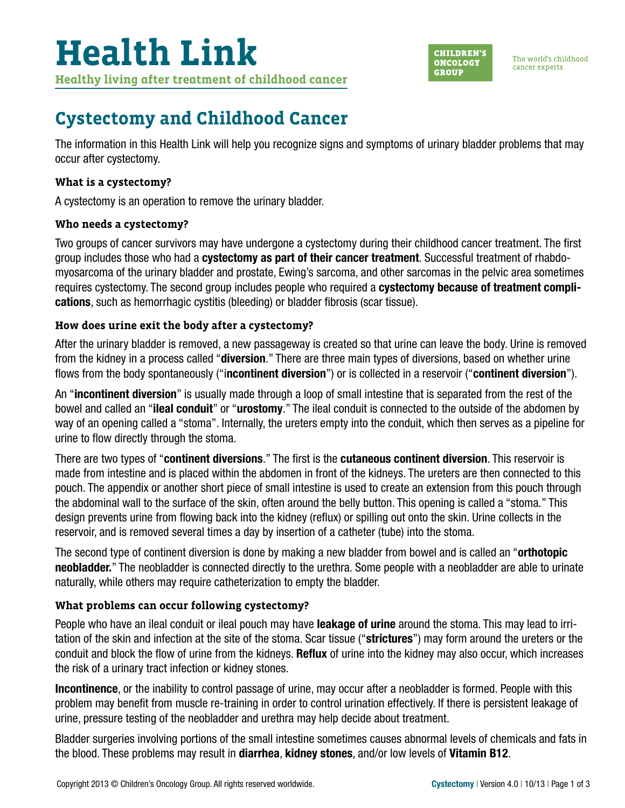The world's childhood cancer experts

## **Cystectomy and Childhood Cancer**

The information in this Health Link will help you recognize signs and symptoms of urinary bladder problems that may occur after cystectomy.

#### **What is a cystectomy?**

A cystectomy is an operation to remove the urinary bladder.

#### **Who needs a cystectomy?**

Two groups of cancer survivors may have undergone a cystectomy during their childhood cancer treatment. The first group includes those who had a cystectomy as part of their cancer treatment. Successful treatment of rhabdomyosarcoma of the urinary bladder and prostate, Ewing's sarcoma, and other sarcomas in the pelvic area sometimes requires cystectomy. The second group includes people who required a **cystectomy because of treatment compli**cations, such as hemorrhagic cystitis (bleeding) or bladder fibrosis (scar tissue).

### **How does urine exit the body after a cystectomy?**

After the urinary bladder is removed, a new passageway is created so that urine can leave the body. Urine is removed from the kidney in a process called "**diversion**." There are three main types of diversions, based on whether urine flows from the body spontaneously ("incontinent diversion") or is collected in a reservoir ("continent diversion").

An "incontinent diversion" is usually made through a loop of small intestine that is separated from the rest of the bowel and called an "ileal conduit" or "urostomy." The ileal conduit is connected to the outside of the abdomen by way of an opening called a "stoma". Internally, the ureters empty into the conduit, which then serves as a pipeline for urine to flow directly through the stoma.

There are two types of "continent diversions." The first is the cutaneous continent diversion. This reservoir is made from intestine and is placed within the abdomen in front of the kidneys. The ureters are then connected to this pouch. The appendix or another short piece of small intestine is used to create an extension from this pouch through the abdominal wall to the surface of the skin, often around the belly button. This opening is called a "stoma." This design prevents urine from flowing back into the kidney (reflux) or spilling out onto the skin. Urine collects in the reservoir, and is removed several times a day by insertion of a catheter (tube) into the stoma.

The second type of continent diversion is done by making a new bladder from bowel and is called an "**orthotopic** neobladder." The neobladder is connected directly to the urethra. Some people with a neobladder are able to urinate naturally, while others may require catheterization to empty the bladder.

### **What problems can occur following cystectomy?**

People who have an ileal conduit or ileal pouch may have leakage of urine around the stoma. This may lead to irritation of the skin and infection at the site of the stoma. Scar tissue ("strictures") may form around the ureters or the conduit and block the flow of urine from the kidneys. Reflux of urine into the kidney may also occur, which increases the risk of a urinary tract infection or kidney stones.

Incontinence, or the inability to control passage of urine, may occur after a neobladder is formed. People with this problem may benefit from muscle re-training in order to control urination effectively. If there is persistent leakage of urine, pressure testing of the neobladder and urethra may help decide about treatment.

Bladder surgeries involving portions of the small intestine sometimes causes abnormal levels of chemicals and fats in the blood. These problems may result in diarrhea, kidney stones, and/or low levels of Vitamin B12.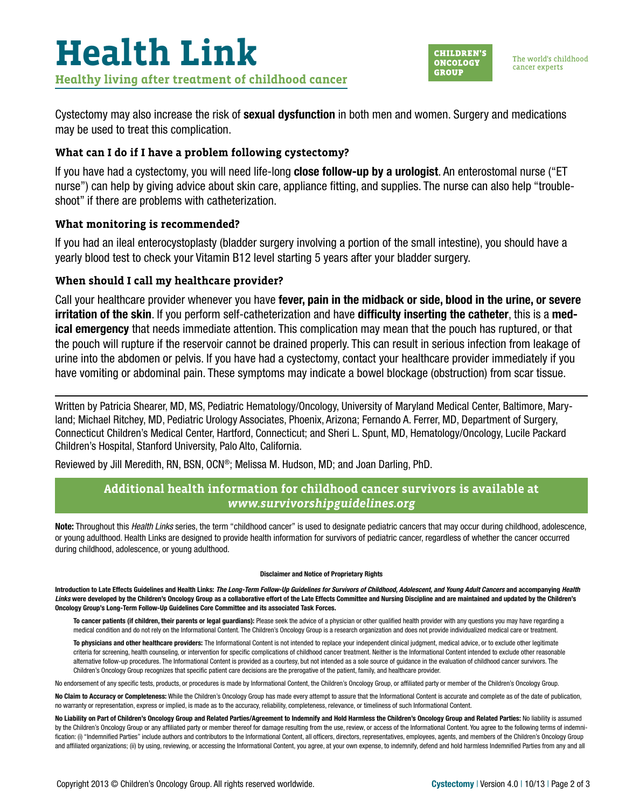

Cystectomy may also increase the risk of **sexual dysfunction** in both men and women. Surgery and medications may be used to treat this complication.

#### **What can I do if I have a problem following cystectomy?**

If you have had a cystectomy, you will need life-long **close follow-up by a urologist**. An enterostomal nurse ("ET nurse") can help by giving advice about skin care, appliance fitting, and supplies. The nurse can also help "troubleshoot" if there are problems with catheterization.

#### **What monitoring is recommended?**

If you had an ileal enterocystoplasty (bladder surgery involving a portion of the small intestine), you should have a yearly blood test to check your Vitamin B12 level starting 5 years after your bladder surgery.

#### **When should I call my healthcare provider?**

Call your healthcare provider whenever you have fever, pain in the midback or side, blood in the urine, or severe irritation of the skin. If you perform self-catheterization and have difficulty inserting the catheter, this is a medical emergency that needs immediate attention. This complication may mean that the pouch has ruptured, or that the pouch will rupture if the reservoir cannot be drained properly. This can result in serious infection from leakage of urine into the abdomen or pelvis. If you have had a cystectomy, contact your healthcare provider immediately if you have vomiting or abdominal pain. These symptoms may indicate a bowel blockage (obstruction) from scar tissue.

Written by Patricia Shearer, MD, MS, Pediatric Hematology/Oncology, University of Maryland Medical Center, Baltimore, Maryland; Michael Ritchey, MD, Pediatric Urology Associates, Phoenix, Arizona; Fernando A. Ferrer, MD, Department of Surgery, Connecticut Children's Medical Center, Hartford, Connecticut; and Sheri L. Spunt, MD, Hematology/Oncology, Lucile Packard Children's Hospital, Stanford University, Palo Alto, California.

Reviewed by Jill Meredith, RN, BSN, OCN®; Melissa M. Hudson, MD; and Joan Darling, PhD.

#### **Additional health information for childhood cancer survivors is available at**  *[www.survivorshipguidelines.org](http://www.survivorshipguidelines.org)*

Note: Throughout this *Health Links* series, the term "childhood cancer" is used to designate pediatric cancers that may occur during childhood, adolescence, or young adulthood. Health Links are designed to provide health information for survivors of pediatric cancer, regardless of whether the cancer occurred during childhood, adolescence, or young adulthood.

#### Disclaimer and Notice of Proprietary Rights

Introduction to Late Effects Guidelines and Health Links: *The Long-Term Follow-Up Guidelines for Survivors of Childhood, Adolescent, and Young Adult Cancers* and accompanying *Health Links* were developed by the Children's Oncology Group as a collaborative effort of the Late Effects Committee and Nursing Discipline and are maintained and updated by the Children's Oncology Group's Long-Term Follow-Up Guidelines Core Committee and its associated Task Forces.

To cancer patients (if children, their parents or legal guardians): Please seek the advice of a physician or other qualified health provider with any questions you may have regarding a medical condition and do not rely on the Informational Content. The Children's Oncology Group is a research organization and does not provide individualized medical care or treatment.

To physicians and other healthcare providers: The Informational Content is not intended to replace your independent clinical judgment, medical advice, or to exclude other legitimate criteria for screening, health counseling, or intervention for specific complications of childhood cancer treatment. Neither is the Informational Content intended to exclude other reasonable alternative follow-up procedures. The Informational Content is provided as a courtesy, but not intended as a sole source of guidance in the evaluation of childhood cancer survivors. The Children's Oncology Group recognizes that specific patient care decisions are the prerogative of the patient, family, and healthcare provider.

No endorsement of any specific tests, products, or procedures is made by Informational Content, the Children's Oncology Group, or affiliated party or member of the Children's Oncology Group.

No Claim to Accuracy or Completeness: While the Children's Oncology Group has made every attempt to assure that the Informational Content is accurate and complete as of the date of publication, no warranty or representation, express or implied, is made as to the accuracy, reliability, completeness, relevance, or timeliness of such Informational Content.

No Liability on Part of Children's Oncology Group and Related Parties/Agreement to Indemnify and Hold Harmless the Children's Oncology Group and Related Parties: No liability is assumed by the Children's Oncology Group or any affiliated party or member thereof for damage resulting from the use, review, or access of the Informational Content. You agree to the following terms of indemnification: (i) "Indemnified Parties" include authors and contributors to the Informational Content, all officers, directors, representatives, employees, agents, and members of the Children's Oncology Group and affiliated organizations; (ii) by using, reviewing, or accessing the Informational Content, you agree, at your own expense, to indemnify, defend and hold harmless Indemnified Parties from any and all